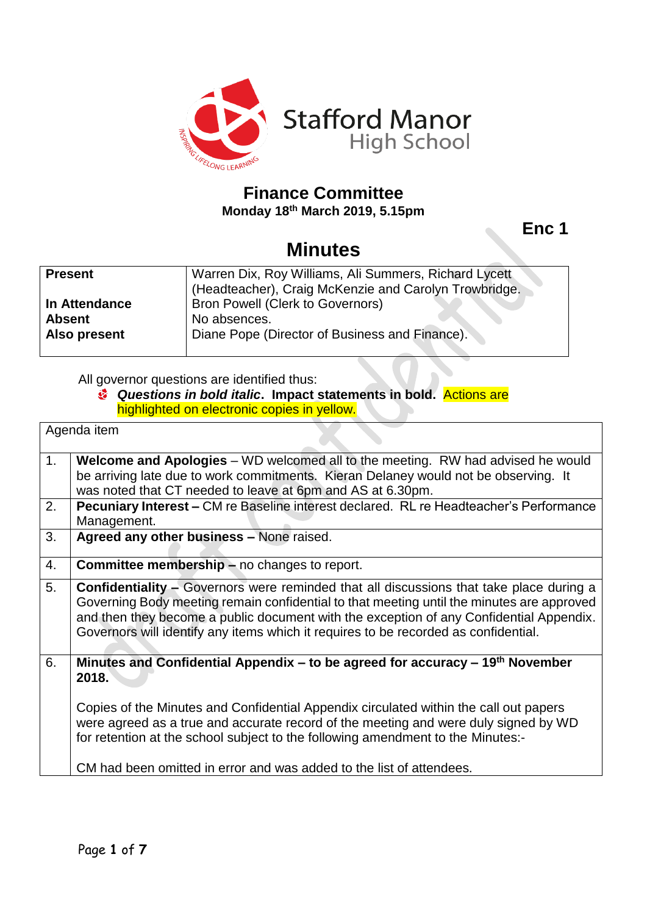

## **Finance Committee**

**Monday 18th March 2019, 5.15pm**

**Enc 1**

# **Minutes**

| <b>Present</b> | Warren Dix, Roy Williams, Ali Summers, Richard Lycett |  |  |
|----------------|-------------------------------------------------------|--|--|
|                | (Headteacher), Craig McKenzie and Carolyn Trowbridge. |  |  |
| In Attendance  | <b>Bron Powell (Clerk to Governors)</b>               |  |  |
| <b>Absent</b>  | No absences.                                          |  |  |
| Also present   | Diane Pope (Director of Business and Finance).        |  |  |
|                |                                                       |  |  |

All governor questions are identified thus:

#### *Questions in bold italic***. Impact statements in bold.** Actions are highlighted on electronic copies in yellow.

| Agenda item |                                                                                                                                                                                                                                                                                                                                                                               |  |
|-------------|-------------------------------------------------------------------------------------------------------------------------------------------------------------------------------------------------------------------------------------------------------------------------------------------------------------------------------------------------------------------------------|--|
| 1.          | Welcome and Apologies - WD welcomed all to the meeting. RW had advised he would<br>be arriving late due to work commitments. Kieran Delaney would not be observing. It<br>was noted that CT needed to leave at 6pm and AS at 6.30pm.                                                                                                                                          |  |
| 2.          | <b>Pecuniary Interest – CM re Baseline interest declared. RL re Headteacher's Performance</b><br>Management.                                                                                                                                                                                                                                                                  |  |
| 3.          | Agreed any other business - None raised.                                                                                                                                                                                                                                                                                                                                      |  |
| 4.          | <b>Committee membership - no changes to report.</b>                                                                                                                                                                                                                                                                                                                           |  |
| 5.          | <b>Confidentiality –</b> Governors were reminded that all discussions that take place during a<br>Governing Body meeting remain confidential to that meeting until the minutes are approved<br>and then they become a public document with the exception of any Confidential Appendix.<br>Governors will identify any items which it requires to be recorded as confidential. |  |
| 6.          | Minutes and Confidential Appendix – to be agreed for accuracy – $19th$ November<br>2018.                                                                                                                                                                                                                                                                                      |  |
|             | Copies of the Minutes and Confidential Appendix circulated within the call out papers<br>were agreed as a true and accurate record of the meeting and were duly signed by WD<br>for retention at the school subject to the following amendment to the Minutes:-                                                                                                               |  |
|             | CM had been omitted in error and was added to the list of attendees.                                                                                                                                                                                                                                                                                                          |  |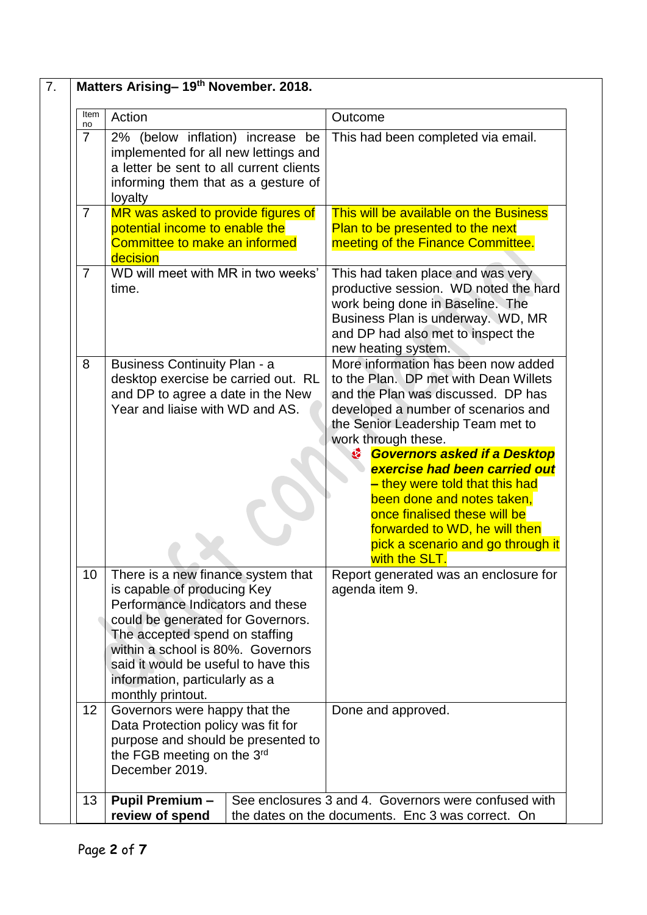| Item<br>no     | Action                                                                                                                                                                                                                                                                                                           |                                                                                                                              | Outcome                                                                                                                                                                                                                                                                                                                                                                                                                                                                                   |  |
|----------------|------------------------------------------------------------------------------------------------------------------------------------------------------------------------------------------------------------------------------------------------------------------------------------------------------------------|------------------------------------------------------------------------------------------------------------------------------|-------------------------------------------------------------------------------------------------------------------------------------------------------------------------------------------------------------------------------------------------------------------------------------------------------------------------------------------------------------------------------------------------------------------------------------------------------------------------------------------|--|
| $\overline{7}$ | 2% (below inflation) increase be<br>implemented for all new lettings and<br>a letter be sent to all current clients<br>informing them that as a gesture of<br>loyalty                                                                                                                                            |                                                                                                                              | This had been completed via email.                                                                                                                                                                                                                                                                                                                                                                                                                                                        |  |
| $\overline{7}$ | MR was asked to provide figures of<br>potential income to enable the<br>Committee to make an informed<br>decision                                                                                                                                                                                                |                                                                                                                              | This will be available on the Business<br>Plan to be presented to the next<br>meeting of the Finance Committee.                                                                                                                                                                                                                                                                                                                                                                           |  |
| $\overline{7}$ | WD will meet with MR in two weeks'<br>time.                                                                                                                                                                                                                                                                      |                                                                                                                              | This had taken place and was very<br>productive session. WD noted the hard<br>work being done in Baseline. The<br>Business Plan is underway. WD, MR<br>and DP had also met to inspect the<br>new heating system.                                                                                                                                                                                                                                                                          |  |
| 8              | <b>Business Continuity Plan - a</b><br>desktop exercise be carried out. RL<br>and DP to agree a date in the New<br>Year and liaise with WD and AS.                                                                                                                                                               |                                                                                                                              | More information has been now added<br>to the Plan. DP met with Dean Willets<br>and the Plan was discussed. DP has<br>developed a number of scenarios and<br>the Senior Leadership Team met to<br>work through these.<br>٨<br><b>Governors asked if a Desktop</b><br>exercise had been carried out<br>- they were told that this had<br>been done and notes taken,<br>once finalised these will be<br>forwarded to WD, he will then<br>pick a scenario and go through it<br>with the SLT. |  |
| 10             | There is a new finance system that<br>is capable of producing Key<br>Performance Indicators and these<br>could be generated for Governors.<br>The accepted spend on staffing<br>within a school is 80%. Governors<br>said it would be useful to have this<br>information, particularly as a<br>monthly printout. |                                                                                                                              | Report generated was an enclosure for<br>agenda item 9.                                                                                                                                                                                                                                                                                                                                                                                                                                   |  |
| 12             | Governors were happy that the<br>Data Protection policy was fit for<br>purpose and should be presented to<br>the FGB meeting on the 3rd<br>December 2019.                                                                                                                                                        |                                                                                                                              | Done and approved.                                                                                                                                                                                                                                                                                                                                                                                                                                                                        |  |
| 13             | <b>Pupil Premium -</b>                                                                                                                                                                                                                                                                                           | See enclosures 3 and 4. Governors were confused with<br>review of spend<br>the dates on the documents. Enc 3 was correct. On |                                                                                                                                                                                                                                                                                                                                                                                                                                                                                           |  |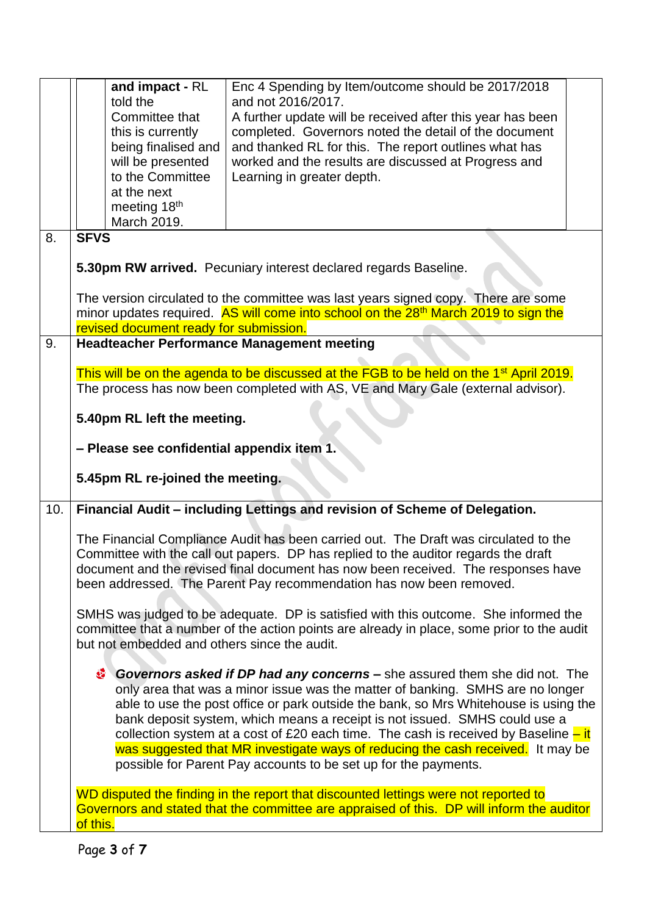|     |                                                                                                                                                                                                                                                                                                                                         | and impact - RL                          | Enc 4 Spending by Item/outcome should be 2017/2018                                                                                                                               |  |  |
|-----|-----------------------------------------------------------------------------------------------------------------------------------------------------------------------------------------------------------------------------------------------------------------------------------------------------------------------------------------|------------------------------------------|----------------------------------------------------------------------------------------------------------------------------------------------------------------------------------|--|--|
|     |                                                                                                                                                                                                                                                                                                                                         | told the                                 | and not 2016/2017.                                                                                                                                                               |  |  |
|     |                                                                                                                                                                                                                                                                                                                                         | Committee that                           | A further update will be received after this year has been                                                                                                                       |  |  |
|     |                                                                                                                                                                                                                                                                                                                                         | this is currently<br>being finalised and | completed. Governors noted the detail of the document<br>and thanked RL for this. The report outlines what has                                                                   |  |  |
|     |                                                                                                                                                                                                                                                                                                                                         | will be presented                        | worked and the results are discussed at Progress and                                                                                                                             |  |  |
|     |                                                                                                                                                                                                                                                                                                                                         | to the Committee                         | Learning in greater depth.                                                                                                                                                       |  |  |
|     |                                                                                                                                                                                                                                                                                                                                         | at the next                              |                                                                                                                                                                                  |  |  |
|     |                                                                                                                                                                                                                                                                                                                                         | meeting 18 <sup>th</sup>                 |                                                                                                                                                                                  |  |  |
|     |                                                                                                                                                                                                                                                                                                                                         | March 2019.                              |                                                                                                                                                                                  |  |  |
| 8.  | <b>SFVS</b>                                                                                                                                                                                                                                                                                                                             |                                          |                                                                                                                                                                                  |  |  |
|     | 5.30pm RW arrived. Pecuniary interest declared regards Baseline.                                                                                                                                                                                                                                                                        |                                          |                                                                                                                                                                                  |  |  |
|     |                                                                                                                                                                                                                                                                                                                                         |                                          | The version circulated to the committee was last years signed copy. There are some                                                                                               |  |  |
|     |                                                                                                                                                                                                                                                                                                                                         |                                          | minor updates required. AS will come into school on the 28 <sup>th</sup> March 2019 to sign the                                                                                  |  |  |
|     |                                                                                                                                                                                                                                                                                                                                         | revised document ready for submission.   |                                                                                                                                                                                  |  |  |
| 9.  |                                                                                                                                                                                                                                                                                                                                         |                                          | <b>Headteacher Performance Management meeting</b>                                                                                                                                |  |  |
|     |                                                                                                                                                                                                                                                                                                                                         |                                          | This will be on the agenda to be discussed at the FGB to be held on the 1 <sup>st</sup> April 2019.                                                                              |  |  |
|     | The process has now been completed with AS, VE and Mary Gale (external advisor).                                                                                                                                                                                                                                                        |                                          |                                                                                                                                                                                  |  |  |
|     | 5.40pm RL left the meeting.                                                                                                                                                                                                                                                                                                             |                                          |                                                                                                                                                                                  |  |  |
|     | - Please see confidential appendix item 1.                                                                                                                                                                                                                                                                                              |                                          |                                                                                                                                                                                  |  |  |
|     |                                                                                                                                                                                                                                                                                                                                         | 5.45pm RL re-joined the meeting.         |                                                                                                                                                                                  |  |  |
| 10. |                                                                                                                                                                                                                                                                                                                                         |                                          | Financial Audit - including Lettings and revision of Scheme of Delegation.                                                                                                       |  |  |
|     | The Financial Compliance Audit has been carried out. The Draft was circulated to the<br>Committee with the call out papers. DP has replied to the auditor regards the draft<br>document and the revised final document has now been received. The responses have<br>been addressed. The Parent Pay recommendation has now been removed. |                                          |                                                                                                                                                                                  |  |  |
|     | SMHS was judged to be adequate. DP is satisfied with this outcome. She informed the<br>committee that a number of the action points are already in place, some prior to the audit<br>but not embedded and others since the audit.                                                                                                       |                                          |                                                                                                                                                                                  |  |  |
|     |                                                                                                                                                                                                                                                                                                                                         |                                          | Covernors asked if DP had any concerns – she assured them she did not. The                                                                                                       |  |  |
|     |                                                                                                                                                                                                                                                                                                                                         |                                          | only area that was a minor issue was the matter of banking. SMHS are no longer                                                                                                   |  |  |
|     | able to use the post office or park outside the bank, so Mrs Whitehouse is using the                                                                                                                                                                                                                                                    |                                          |                                                                                                                                                                                  |  |  |
|     |                                                                                                                                                                                                                                                                                                                                         |                                          | bank deposit system, which means a receipt is not issued. SMHS could use a<br>collection system at a cost of £20 each time. The cash is received by Baseline $-\text{it}$        |  |  |
|     |                                                                                                                                                                                                                                                                                                                                         |                                          | was suggested that MR investigate ways of reducing the cash received. It may be                                                                                                  |  |  |
|     |                                                                                                                                                                                                                                                                                                                                         |                                          | possible for Parent Pay accounts to be set up for the payments.                                                                                                                  |  |  |
|     |                                                                                                                                                                                                                                                                                                                                         |                                          |                                                                                                                                                                                  |  |  |
|     |                                                                                                                                                                                                                                                                                                                                         |                                          | WD disputed the finding in the report that discounted lettings were not reported to<br>Governors and stated that the committee are appraised of this. DP will inform the auditor |  |  |
|     | of this.                                                                                                                                                                                                                                                                                                                                |                                          |                                                                                                                                                                                  |  |  |
|     |                                                                                                                                                                                                                                                                                                                                         |                                          |                                                                                                                                                                                  |  |  |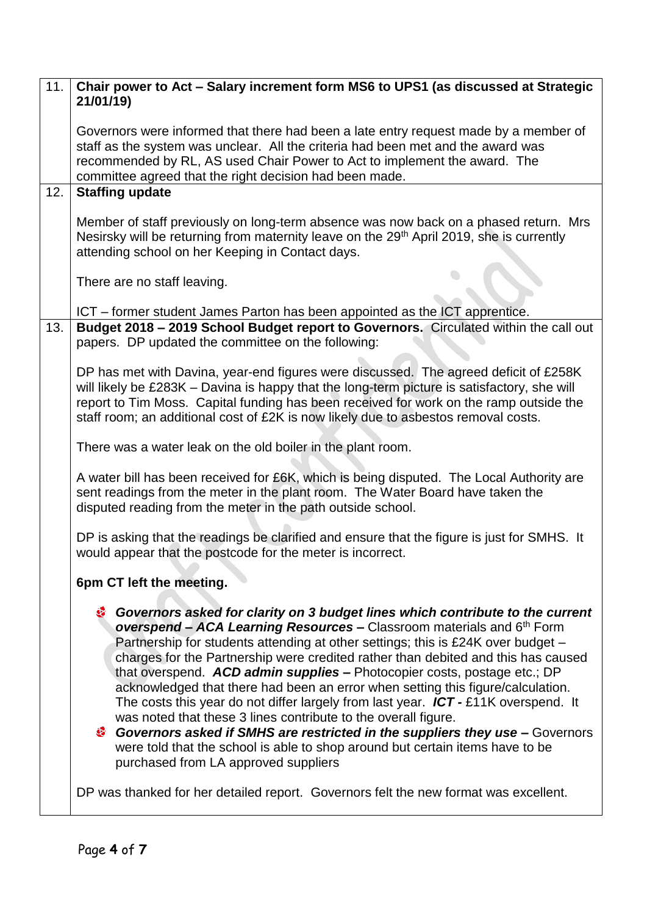| 11. | Chair power to Act - Salary increment form MS6 to UPS1 (as discussed at Strategic<br>21/01/19)                                                                                                                                                                                                                                                                                                                                                                                                                                                                                                                                                                                                                                                                                                                                                                                 |  |  |  |
|-----|--------------------------------------------------------------------------------------------------------------------------------------------------------------------------------------------------------------------------------------------------------------------------------------------------------------------------------------------------------------------------------------------------------------------------------------------------------------------------------------------------------------------------------------------------------------------------------------------------------------------------------------------------------------------------------------------------------------------------------------------------------------------------------------------------------------------------------------------------------------------------------|--|--|--|
|     | Governors were informed that there had been a late entry request made by a member of<br>staff as the system was unclear. All the criteria had been met and the award was<br>recommended by RL, AS used Chair Power to Act to implement the award. The<br>committee agreed that the right decision had been made.                                                                                                                                                                                                                                                                                                                                                                                                                                                                                                                                                               |  |  |  |
| 12. | <b>Staffing update</b>                                                                                                                                                                                                                                                                                                                                                                                                                                                                                                                                                                                                                                                                                                                                                                                                                                                         |  |  |  |
|     | Member of staff previously on long-term absence was now back on a phased return. Mrs<br>Nesirsky will be returning from maternity leave on the 29 <sup>th</sup> April 2019, she is currently<br>attending school on her Keeping in Contact days.                                                                                                                                                                                                                                                                                                                                                                                                                                                                                                                                                                                                                               |  |  |  |
|     | There are no staff leaving.                                                                                                                                                                                                                                                                                                                                                                                                                                                                                                                                                                                                                                                                                                                                                                                                                                                    |  |  |  |
|     | ICT – former student James Parton has been appointed as the ICT apprentice.                                                                                                                                                                                                                                                                                                                                                                                                                                                                                                                                                                                                                                                                                                                                                                                                    |  |  |  |
| 13. | Budget 2018 - 2019 School Budget report to Governors. Circulated within the call out<br>papers. DP updated the committee on the following:                                                                                                                                                                                                                                                                                                                                                                                                                                                                                                                                                                                                                                                                                                                                     |  |  |  |
|     | DP has met with Davina, year-end figures were discussed. The agreed deficit of £258K<br>will likely be £283K - Davina is happy that the long-term picture is satisfactory, she will<br>report to Tim Moss. Capital funding has been received for work on the ramp outside the<br>staff room; an additional cost of £2K is now likely due to asbestos removal costs.                                                                                                                                                                                                                                                                                                                                                                                                                                                                                                            |  |  |  |
|     | There was a water leak on the old boiler in the plant room.                                                                                                                                                                                                                                                                                                                                                                                                                                                                                                                                                                                                                                                                                                                                                                                                                    |  |  |  |
|     | A water bill has been received for £6K, which is being disputed. The Local Authority are<br>sent readings from the meter in the plant room. The Water Board have taken the<br>disputed reading from the meter in the path outside school.                                                                                                                                                                                                                                                                                                                                                                                                                                                                                                                                                                                                                                      |  |  |  |
|     | DP is asking that the readings be clarified and ensure that the figure is just for SMHS. It<br>would appear that the postcode for the meter is incorrect.                                                                                                                                                                                                                                                                                                                                                                                                                                                                                                                                                                                                                                                                                                                      |  |  |  |
|     | 6pm CT left the meeting.                                                                                                                                                                                                                                                                                                                                                                                                                                                                                                                                                                                                                                                                                                                                                                                                                                                       |  |  |  |
|     | Governors asked for clarity on 3 budget lines which contribute to the current<br>overspend - ACA Learning Resources - Classroom materials and 6th Form<br>Partnership for students attending at other settings; this is £24K over budget -<br>charges for the Partnership were credited rather than debited and this has caused<br>that overspend. ACD admin supplies - Photocopier costs, postage etc.; DP<br>acknowledged that there had been an error when setting this figure/calculation.<br>The costs this year do not differ largely from last year. $ICT - £11K$ overspend. It<br>was noted that these 3 lines contribute to the overall figure.<br><sup>3</sup> Governors asked if SMHS are restricted in the suppliers they use - Governors<br>were told that the school is able to shop around but certain items have to be<br>purchased from LA approved suppliers |  |  |  |
|     | DP was thanked for her detailed report. Governors felt the new format was excellent.                                                                                                                                                                                                                                                                                                                                                                                                                                                                                                                                                                                                                                                                                                                                                                                           |  |  |  |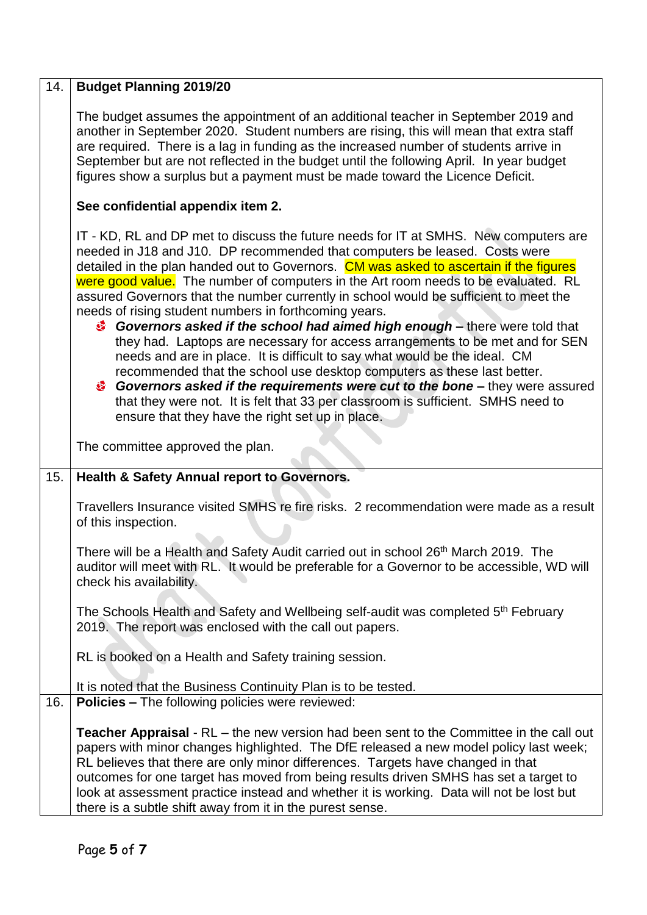| 14. | <b>Budget Planning 2019/20</b>                                                                                                                                                                                                                                                                                                                                                                                                                                                                                                                                                                                                                                                                                                                                                                                                                                                                                                                                                                                                                              |  |  |  |
|-----|-------------------------------------------------------------------------------------------------------------------------------------------------------------------------------------------------------------------------------------------------------------------------------------------------------------------------------------------------------------------------------------------------------------------------------------------------------------------------------------------------------------------------------------------------------------------------------------------------------------------------------------------------------------------------------------------------------------------------------------------------------------------------------------------------------------------------------------------------------------------------------------------------------------------------------------------------------------------------------------------------------------------------------------------------------------|--|--|--|
|     | The budget assumes the appointment of an additional teacher in September 2019 and<br>another in September 2020. Student numbers are rising, this will mean that extra staff<br>are required. There is a lag in funding as the increased number of students arrive in<br>September but are not reflected in the budget until the following April. In year budget<br>figures show a surplus but a payment must be made toward the Licence Deficit.                                                                                                                                                                                                                                                                                                                                                                                                                                                                                                                                                                                                            |  |  |  |
|     | See confidential appendix item 2.                                                                                                                                                                                                                                                                                                                                                                                                                                                                                                                                                                                                                                                                                                                                                                                                                                                                                                                                                                                                                           |  |  |  |
|     | IT - KD, RL and DP met to discuss the future needs for IT at SMHS. New computers are<br>needed in J18 and J10. DP recommended that computers be leased. Costs were<br>detailed in the plan handed out to Governors. CM was asked to ascertain if the figures<br>were good value. The number of computers in the Art room needs to be evaluated. RL<br>assured Governors that the number currently in school would be sufficient to meet the<br>needs of rising student numbers in forthcoming years.<br>Governors asked if the school had aimed high enough - there were told that<br>they had. Laptops are necessary for access arrangements to be met and for SEN<br>needs and are in place. It is difficult to say what would be the ideal. CM<br>recommended that the school use desktop computers as these last better.<br><b>Governors asked if the requirements were cut to the bone –</b> they were assured<br>that they were not. It is felt that 33 per classroom is sufficient. SMHS need to<br>ensure that they have the right set up in place. |  |  |  |
|     | The committee approved the plan.                                                                                                                                                                                                                                                                                                                                                                                                                                                                                                                                                                                                                                                                                                                                                                                                                                                                                                                                                                                                                            |  |  |  |
| 15. | Health & Safety Annual report to Governors.                                                                                                                                                                                                                                                                                                                                                                                                                                                                                                                                                                                                                                                                                                                                                                                                                                                                                                                                                                                                                 |  |  |  |
|     | Travellers Insurance visited SMHS re fire risks. 2 recommendation were made as a result<br>of this inspection.                                                                                                                                                                                                                                                                                                                                                                                                                                                                                                                                                                                                                                                                                                                                                                                                                                                                                                                                              |  |  |  |
|     | There will be a Health and Safety Audit carried out in school 26 <sup>th</sup> March 2019. The<br>auditor will meet with RL. It would be preferable for a Governor to be accessible, WD will<br>check his availability.                                                                                                                                                                                                                                                                                                                                                                                                                                                                                                                                                                                                                                                                                                                                                                                                                                     |  |  |  |
|     | The Schools Health and Safety and Wellbeing self-audit was completed 5 <sup>th</sup> February<br>2019. The report was enclosed with the call out papers.                                                                                                                                                                                                                                                                                                                                                                                                                                                                                                                                                                                                                                                                                                                                                                                                                                                                                                    |  |  |  |
|     | RL is booked on a Health and Safety training session.                                                                                                                                                                                                                                                                                                                                                                                                                                                                                                                                                                                                                                                                                                                                                                                                                                                                                                                                                                                                       |  |  |  |
|     | It is noted that the Business Continuity Plan is to be tested.                                                                                                                                                                                                                                                                                                                                                                                                                                                                                                                                                                                                                                                                                                                                                                                                                                                                                                                                                                                              |  |  |  |
| 16. | <b>Policies – The following policies were reviewed:</b>                                                                                                                                                                                                                                                                                                                                                                                                                                                                                                                                                                                                                                                                                                                                                                                                                                                                                                                                                                                                     |  |  |  |
|     | Teacher Appraisal - RL - the new version had been sent to the Committee in the call out<br>papers with minor changes highlighted. The DfE released a new model policy last week;<br>RL believes that there are only minor differences. Targets have changed in that<br>outcomes for one target has moved from being results driven SMHS has set a target to<br>look at assessment practice instead and whether it is working. Data will not be lost but<br>there is a subtle shift away from it in the purest sense.                                                                                                                                                                                                                                                                                                                                                                                                                                                                                                                                        |  |  |  |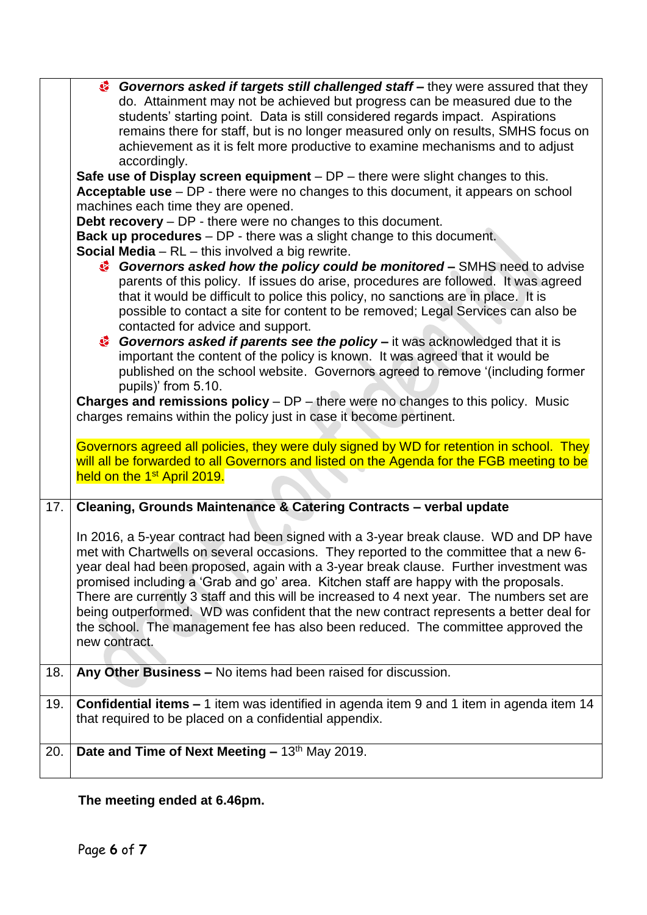|     | Governors asked if targets still challenged staff – they were assured that they                                                                                                       |  |  |  |
|-----|---------------------------------------------------------------------------------------------------------------------------------------------------------------------------------------|--|--|--|
|     | do. Attainment may not be achieved but progress can be measured due to the<br>students' starting point. Data is still considered regards impact. Aspirations                          |  |  |  |
|     | remains there for staff, but is no longer measured only on results, SMHS focus on                                                                                                     |  |  |  |
|     | achievement as it is felt more productive to examine mechanisms and to adjust                                                                                                         |  |  |  |
|     | accordingly.                                                                                                                                                                          |  |  |  |
|     | Safe use of Display screen equipment $-DP$ – there were slight changes to this.                                                                                                       |  |  |  |
|     | Acceptable use - DP - there were no changes to this document, it appears on school                                                                                                    |  |  |  |
|     | machines each time they are opened.                                                                                                                                                   |  |  |  |
|     | Debt recovery - DP - there were no changes to this document.                                                                                                                          |  |  |  |
|     | Back up procedures - DP - there was a slight change to this document.                                                                                                                 |  |  |  |
|     | <b>Social Media</b> $-$ RL $-$ this involved a big rewrite.                                                                                                                           |  |  |  |
|     | Governors asked how the policy could be monitored – SMHS need to advise                                                                                                               |  |  |  |
|     | parents of this policy. If issues do arise, procedures are followed. It was agreed                                                                                                    |  |  |  |
|     | that it would be difficult to police this policy, no sanctions are in place. It is                                                                                                    |  |  |  |
|     | possible to contact a site for content to be removed; Legal Services can also be                                                                                                      |  |  |  |
|     | contacted for advice and support.                                                                                                                                                     |  |  |  |
|     | Governors asked if parents see the policy – it was acknowledged that it is                                                                                                            |  |  |  |
|     | important the content of the policy is known. It was agreed that it would be                                                                                                          |  |  |  |
|     | published on the school website. Governors agreed to remove '(including former                                                                                                        |  |  |  |
|     | pupils)' from 5.10.                                                                                                                                                                   |  |  |  |
|     | <b>Charges and remissions policy</b> $- DP$ – there were no changes to this policy. Music                                                                                             |  |  |  |
|     | charges remains within the policy just in case it become pertinent.                                                                                                                   |  |  |  |
|     |                                                                                                                                                                                       |  |  |  |
|     | Governors agreed all policies, they were duly signed by WD for retention in school. They<br>will all be forwarded to all Governors and listed on the Agenda for the FGB meeting to be |  |  |  |
|     | held on the 1 <sup>st</sup> April 2019.                                                                                                                                               |  |  |  |
|     |                                                                                                                                                                                       |  |  |  |
| 17. | Cleaning, Grounds Maintenance & Catering Contracts - verbal update                                                                                                                    |  |  |  |
|     |                                                                                                                                                                                       |  |  |  |
|     | In 2016, a 5-year contract had been signed with a 3-year break clause. WD and DP have                                                                                                 |  |  |  |
|     | met with Chartwells on several occasions. They reported to the committee that a new 6-                                                                                                |  |  |  |
|     | year deal had been proposed, again with a 3-year break clause. Further investment was                                                                                                 |  |  |  |
|     | promised including a 'Grab and go' area. Kitchen staff are happy with the proposals.                                                                                                  |  |  |  |
|     | There are currently 3 staff and this will be increased to 4 next year. The numbers set are                                                                                            |  |  |  |
|     | being outperformed. WD was confident that the new contract represents a better deal for<br>the school. The management fee has also been reduced. The committee approved the           |  |  |  |
|     | new contract.                                                                                                                                                                         |  |  |  |
|     |                                                                                                                                                                                       |  |  |  |
| 18. | Any Other Business - No items had been raised for discussion.                                                                                                                         |  |  |  |
|     |                                                                                                                                                                                       |  |  |  |
| 19. | <b>Confidential items - 1</b> item was identified in agenda item 9 and 1 item in agenda item 14                                                                                       |  |  |  |
|     | that required to be placed on a confidential appendix.                                                                                                                                |  |  |  |
|     |                                                                                                                                                                                       |  |  |  |
| 20. | Date and Time of Next Meeting - 13th May 2019.                                                                                                                                        |  |  |  |
|     |                                                                                                                                                                                       |  |  |  |
|     |                                                                                                                                                                                       |  |  |  |

**The meeting ended at 6.46pm.**